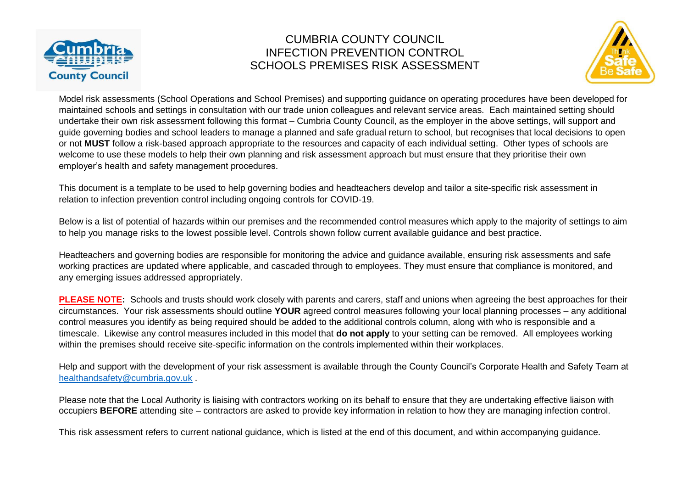



Model risk assessments (School Operations and School Premises) and supporting guidance on operating procedures have been developed for maintained schools and settings in consultation with our trade union colleagues and relevant service areas. Each maintained setting should undertake their own risk assessment following this format – Cumbria County Council, as the employer in the above settings, will support and guide governing bodies and school leaders to manage a planned and safe gradual return to school, but recognises that local decisions to open or not **MUST** follow a risk-based approach appropriate to the resources and capacity of each individual setting. Other types of schools are welcome to use these models to help their own planning and risk assessment approach but must ensure that they prioritise their own employer's health and safety management procedures.

This document is a template to be used to help governing bodies and headteachers develop and tailor a site-specific risk assessment in relation to infection prevention control including ongoing controls for COVID-19.

Below is a list of potential of hazards within our premises and the recommended control measures which apply to the majority of settings to aim to help you manage risks to the lowest possible level. Controls shown follow current available guidance and best practice.

Headteachers and governing bodies are responsible for monitoring the advice and guidance available, ensuring risk assessments and safe working practices are updated where applicable, and cascaded through to employees. They must ensure that compliance is monitored, and any emerging issues addressed appropriately.

**PLEASE NOTE:** Schools and trusts should work closely with parents and carers, staff and unions when agreeing the best approaches for their circumstances. Your risk assessments should outline **YOUR** agreed control measures following your local planning processes – any additional control measures you identify as being required should be added to the additional controls column, along with who is responsible and a timescale. Likewise any control measures included in this model that **do not apply** to your setting can be removed. All employees working within the premises should receive site-specific information on the controls implemented within their workplaces.

Help and support with the development of your risk assessment is available through the County Council's Corporate Health and Safety Team at [healthandsafety@cumbria.gov.uk](mailto:healthandsafety@cumbria.gov.uk) .

Please note that the Local Authority is liaising with contractors working on its behalf to ensure that they are undertaking effective liaison with occupiers **BEFORE** attending site – contractors are asked to provide key information in relation to how they are managing infection control.

This risk assessment refers to current national guidance, which is listed at the end of this document, and within accompanying guidance.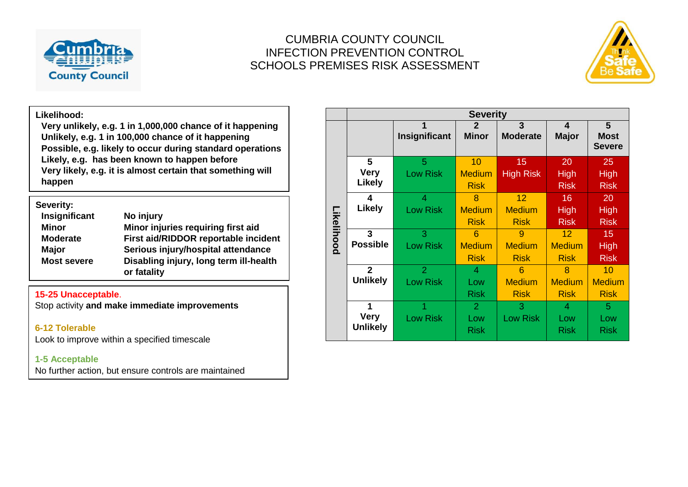



#### **Likelihood:**

**Very unlikely, e.g. 1 in 1,000,000 chance of it happening Unlikely, e.g. 1 in 100,000 chance of it happening Possible, e.g. likely to occur during standard operations Likely, e.g. has been known to happen before Very likely, e.g. it is almost certain that something will happen**

| Severity:          |                                                       |
|--------------------|-------------------------------------------------------|
| Insignificant      | No injury                                             |
| <b>Minor</b>       | Minor injuries requiring first aid                    |
| <b>Moderate</b>    | First aid/RIDDOR reportable incident                  |
| <b>Major</b>       | Serious injury/hospital attendance                    |
| <b>Most severe</b> | Disabling injury, long term ill-health<br>or fatality |

#### **15-25 Unacceptable**.

Stop activity **and make immediate improvements**

#### **6-12 Tolerable**

Look to improve within a specified timescale

#### **1-5 Acceptable**

No further action, but ensure controls are maintained

|            | <b>Severity</b> |                 |                |                  |               |               |  |  |
|------------|-----------------|-----------------|----------------|------------------|---------------|---------------|--|--|
|            |                 | 1               | $\mathbf{2}$   | 3                | 4             | 5             |  |  |
|            |                 | Insignificant   | <b>Minor</b>   | <b>Moderate</b>  | <b>Major</b>  | <b>Most</b>   |  |  |
|            |                 |                 |                |                  |               | <b>Severe</b> |  |  |
|            | 5               | 5               | 10             | 15               | 20            | 25            |  |  |
|            | <b>Very</b>     | <b>Low Risk</b> | <b>Medium</b>  | <b>High Risk</b> | <b>High</b>   | <b>High</b>   |  |  |
|            | <b>Likely</b>   |                 | <b>Risk</b>    |                  | <b>Risk</b>   | <b>Risk</b>   |  |  |
|            | 4               | $\overline{4}$  | 8              | 12               | 16            | 20            |  |  |
|            | <b>Likely</b>   | <b>Low Risk</b> | <b>Medium</b>  | <b>Medium</b>    | <b>High</b>   | <b>High</b>   |  |  |
| Likelihood |                 |                 | <b>Risk</b>    | <b>Risk</b>      | <b>Risk</b>   | <b>Risk</b>   |  |  |
|            | $\mathbf{3}$    | 3               | 6              | 9                | 12            | 15            |  |  |
|            | <b>Possible</b> | <b>Low Risk</b> | <b>Medium</b>  | <b>Medium</b>    | <b>Medium</b> | <b>High</b>   |  |  |
|            |                 |                 | <b>Risk</b>    | <b>Risk</b>      | <b>Risk</b>   | <b>Risk</b>   |  |  |
|            | $\overline{2}$  | $\overline{2}$  | 4              | 6                | 8             | 10            |  |  |
|            | <b>Unlikely</b> | <b>Low Risk</b> | Low            | <b>Medium</b>    | <b>Medium</b> | <b>Medium</b> |  |  |
|            |                 |                 | <b>Risk</b>    | <b>Risk</b>      | <b>Risk</b>   | <b>Risk</b>   |  |  |
|            | 1               |                 | $\overline{2}$ | 3                | 4             | 5             |  |  |
|            | <b>Very</b>     | <b>Low Risk</b> | Low            | <b>Low Risk</b>  | Low           | Low           |  |  |
|            | <b>Unlikely</b> |                 | <b>Risk</b>    |                  | <b>Risk</b>   | <b>Risk</b>   |  |  |
|            |                 |                 |                |                  |               |               |  |  |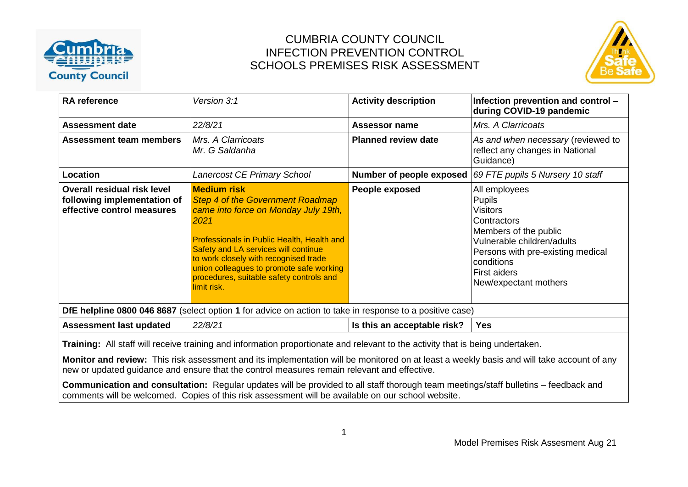



| <b>RA</b> reference                                                                                                                                                                                                                                                         | Version 3:1                                                                                                                                                                                                                                                                                                                                         | <b>Activity description</b> | Infection prevention and control -<br>during COVID-19 pandemic                                                                                                                                                             |  |  |  |  |
|-----------------------------------------------------------------------------------------------------------------------------------------------------------------------------------------------------------------------------------------------------------------------------|-----------------------------------------------------------------------------------------------------------------------------------------------------------------------------------------------------------------------------------------------------------------------------------------------------------------------------------------------------|-----------------------------|----------------------------------------------------------------------------------------------------------------------------------------------------------------------------------------------------------------------------|--|--|--|--|
| <b>Assessment date</b>                                                                                                                                                                                                                                                      | 22/8/21                                                                                                                                                                                                                                                                                                                                             | Assessor name               | Mrs. A Clarricoats                                                                                                                                                                                                         |  |  |  |  |
| <b>Assessment team members</b>                                                                                                                                                                                                                                              | Mrs. A Clarricoats<br>Mr. G Saldanha                                                                                                                                                                                                                                                                                                                | <b>Planned review date</b>  | As and when necessary (reviewed to<br>reflect any changes in National<br>Guidance)                                                                                                                                         |  |  |  |  |
| Location                                                                                                                                                                                                                                                                    | Lanercost CE Primary School                                                                                                                                                                                                                                                                                                                         | Number of people exposed    | 69 FTE pupils 5 Nursery 10 staff                                                                                                                                                                                           |  |  |  |  |
| <b>Overall residual risk level</b><br>following implementation of<br>effective control measures                                                                                                                                                                             | <b>Medium risk</b><br><b>Step 4 of the Government Roadmap</b><br>came into force on Monday July 19th,<br>2021<br>Professionals in Public Health, Health and<br>Safety and LA services will continue<br>to work closely with recognised trade<br>union colleagues to promote safe working<br>procedures, suitable safety controls and<br>limit risk. | People exposed              | All employees<br><b>Pupils</b><br><b>Visitors</b><br>Contractors<br>Members of the public<br>Vulnerable children/adults<br>Persons with pre-existing medical<br>conditions<br><b>First aiders</b><br>New/expectant mothers |  |  |  |  |
|                                                                                                                                                                                                                                                                             | DfE helpline 0800 046 8687 (select option 1 for advice on action to take in response to a positive case)                                                                                                                                                                                                                                            |                             |                                                                                                                                                                                                                            |  |  |  |  |
| <b>Assessment last updated</b>                                                                                                                                                                                                                                              | 22/8/21                                                                                                                                                                                                                                                                                                                                             | Is this an acceptable risk? | <b>Yes</b>                                                                                                                                                                                                                 |  |  |  |  |
| Training: All staff will receive training and information proportionate and relevant to the activity that is being undertaken.<br>Monitor and review. This rick assossment and its implementation will be menitored on at legat a weekly basis and will take asseunt of any |                                                                                                                                                                                                                                                                                                                                                     |                             |                                                                                                                                                                                                                            |  |  |  |  |

**Monitor and review:** This risk assessment and its implementation will be monitored on at least a weekly basis and will take account of any new or updated guidance and ensure that the control measures remain relevant and effective.

**Communication and consultation:** Regular updates will be provided to all staff thorough team meetings/staff bulletins – feedback and comments will be welcomed. Copies of this risk assessment will be available on our school website.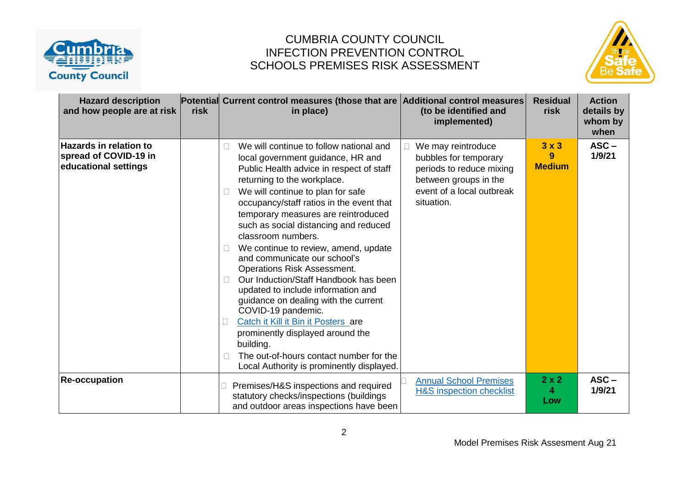



| <b>Hazard description</b><br>and how people are at risk                        | risk | Potential Current control measures (those that are Additional control measures<br>in place)                                                                                                                                                                                                                                                                                                                                                                                                                                                                                                                                                                                                                                                                                                                    | (to be identified and<br>implemented)                                                                                                       | <b>Residual</b><br>risk            | <b>Action</b><br>details by<br>whom by<br>when |
|--------------------------------------------------------------------------------|------|----------------------------------------------------------------------------------------------------------------------------------------------------------------------------------------------------------------------------------------------------------------------------------------------------------------------------------------------------------------------------------------------------------------------------------------------------------------------------------------------------------------------------------------------------------------------------------------------------------------------------------------------------------------------------------------------------------------------------------------------------------------------------------------------------------------|---------------------------------------------------------------------------------------------------------------------------------------------|------------------------------------|------------------------------------------------|
| <b>Hazards in relation to</b><br>spread of COVID-19 in<br>educational settings |      | We will continue to follow national and<br>$\mathbb{R}$<br>local government guidance, HR and<br>Public Health advice in respect of staff<br>returning to the workplace.<br>We will continue to plan for safe<br>occupancy/staff ratios in the event that<br>temporary measures are reintroduced<br>such as social distancing and reduced<br>classroom numbers.<br>We continue to review, amend, update<br>and communicate our school's<br><b>Operations Risk Assessment.</b><br>Our Induction/Staff Handbook has been<br>updated to include information and<br>guidance on dealing with the current<br>COVID-19 pandemic.<br>Catch it Kill it Bin it Posters are<br>prominently displayed around the<br>building.<br>The out-of-hours contact number for the<br>П<br>Local Authority is prominently displayed. | We may reintroduce<br>bubbles for temporary<br>periods to reduce mixing<br>between groups in the<br>event of a local outbreak<br>situation. | $3 \times 3$<br>9<br><b>Medium</b> | $ASC -$<br>1/9/21                              |
| <b>Re-occupation</b>                                                           |      | Premises/H&S inspections and required<br>statutory checks/inspections (buildings<br>and outdoor areas inspections have been                                                                                                                                                                                                                                                                                                                                                                                                                                                                                                                                                                                                                                                                                    | <b>Annual School Premises</b><br><b>H&amp;S inspection checklist</b>                                                                        | $2 \times 2$<br>4<br>Low           | $ASC -$<br>1/9/21                              |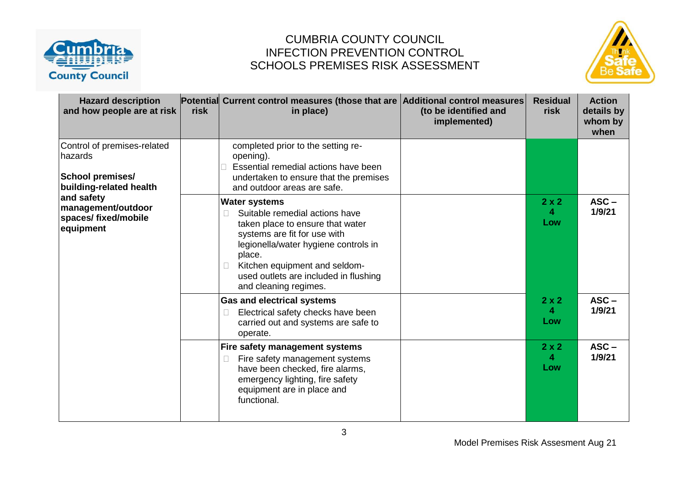



| <b>Hazard description</b><br>and how people are at risk                                      | risk | Potential Current control measures (those that are Additional control measures<br>in place)                                                                                                                                                                                          | (to be identified and<br>implemented) | <b>Residual</b><br>risk  | <b>Action</b><br>details by<br>whom by<br>when |
|----------------------------------------------------------------------------------------------|------|--------------------------------------------------------------------------------------------------------------------------------------------------------------------------------------------------------------------------------------------------------------------------------------|---------------------------------------|--------------------------|------------------------------------------------|
| Control of premises-related<br>hazards<br><b>School premises/</b><br>building-related health |      | completed prior to the setting re-<br>opening).<br>Essential remedial actions have been<br>undertaken to ensure that the premises<br>and outdoor areas are safe.                                                                                                                     |                                       |                          |                                                |
| and safety<br>management/outdoor<br>spaces/ fixed/mobile<br>equipment                        |      | <b>Water systems</b><br>Suitable remedial actions have<br>taken place to ensure that water<br>systems are fit for use with<br>legionella/water hygiene controls in<br>place.<br>Kitchen equipment and seldom-<br>П<br>used outlets are included in flushing<br>and cleaning regimes. |                                       | $2 \times 2$<br>4<br>Low | $ASC -$<br>1/9/21                              |
|                                                                                              |      | <b>Gas and electrical systems</b><br>Electrical safety checks have been<br>carried out and systems are safe to<br>operate.                                                                                                                                                           |                                       | $2 \times 2$<br>4<br>Low | $ASC -$<br>1/9/21                              |
|                                                                                              |      | Fire safety management systems<br>Fire safety management systems<br>П<br>have been checked, fire alarms,<br>emergency lighting, fire safety<br>equipment are in place and<br>functional.                                                                                             |                                       | $2 \times 2$<br>4<br>Low | $ASC -$<br>1/9/21                              |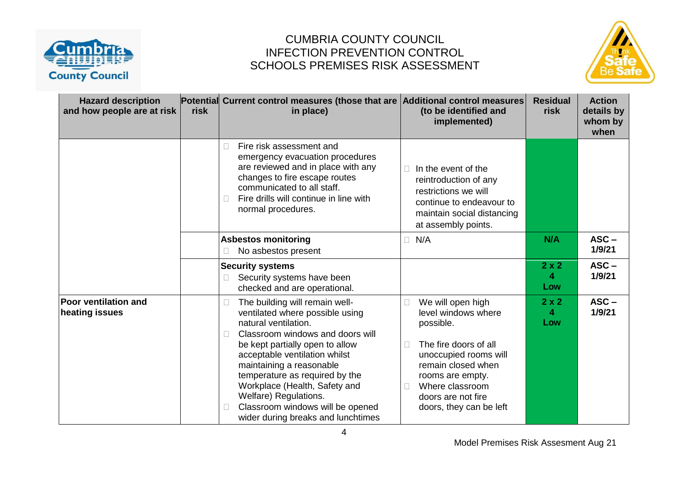



| <b>Hazard description</b><br>and how people are at risk | risk | Potential Current control measures (those that are Additional control measures<br>in place)                                                                                                                                                                                                                                                                                                                                | (to be identified and<br>implemented)                                                                                                                                                                                      | <b>Residual</b><br>risk  | <b>Action</b><br>details by<br>whom by<br>when |
|---------------------------------------------------------|------|----------------------------------------------------------------------------------------------------------------------------------------------------------------------------------------------------------------------------------------------------------------------------------------------------------------------------------------------------------------------------------------------------------------------------|----------------------------------------------------------------------------------------------------------------------------------------------------------------------------------------------------------------------------|--------------------------|------------------------------------------------|
|                                                         |      | Fire risk assessment and<br>emergency evacuation procedures<br>are reviewed and in place with any<br>changes to fire escape routes<br>communicated to all staff.<br>Fire drills will continue in line with<br>normal procedures.                                                                                                                                                                                           | In the event of the<br>reintroduction of any<br>restrictions we will<br>continue to endeavour to<br>maintain social distancing<br>at assembly points.                                                                      |                          |                                                |
|                                                         |      | <b>Asbestos monitoring</b><br>No asbestos present                                                                                                                                                                                                                                                                                                                                                                          | N/A<br>П                                                                                                                                                                                                                   | N/A                      | $ASC -$<br>1/9/21                              |
|                                                         |      | <b>Security systems</b><br>Security systems have been<br>checked and are operational.                                                                                                                                                                                                                                                                                                                                      |                                                                                                                                                                                                                            | $2 \times 2$<br>4<br>Low | $ASC -$<br>1/9/21                              |
| <b>Poor ventilation and</b><br>heating issues           |      | The building will remain well-<br>Ш<br>ventilated where possible using<br>natural ventilation.<br>Classroom windows and doors will<br>$\mathbb{R}^n$<br>be kept partially open to allow<br>acceptable ventilation whilst<br>maintaining a reasonable<br>temperature as required by the<br>Workplace (Health, Safety and<br>Welfare) Regulations.<br>Classroom windows will be opened<br>wider during breaks and lunchtimes | We will open high<br>level windows where<br>possible.<br>The fire doors of all<br>unoccupied rooms will<br>remain closed when<br>rooms are empty.<br>Where classroom<br>Г<br>doors are not fire<br>doors, they can be left | $2 \times 2$<br>4<br>Low | $ASC -$<br>1/9/21                              |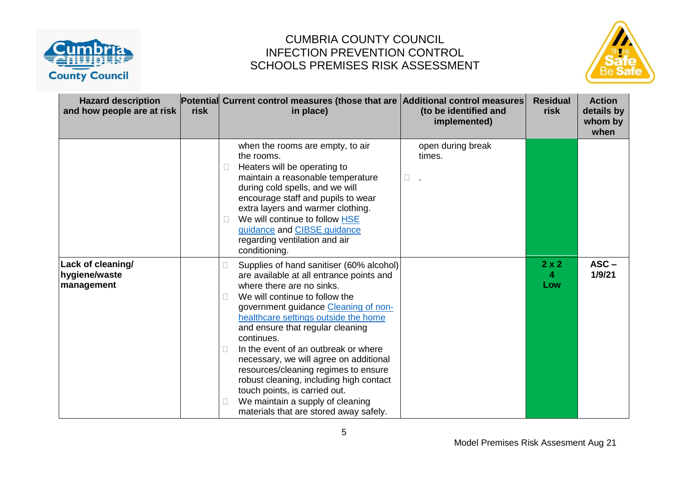



| <b>Hazard description</b><br>and how people are at risk | risk | Potential Current control measures (those that are Additional control measures<br>in place)                                                                                                                                                                                                                                                                                                                                                                                                                                                                               | (to be identified and<br>implemented) | <b>Residual</b><br>risk  | <b>Action</b><br>details by<br>whom by<br>when |
|---------------------------------------------------------|------|---------------------------------------------------------------------------------------------------------------------------------------------------------------------------------------------------------------------------------------------------------------------------------------------------------------------------------------------------------------------------------------------------------------------------------------------------------------------------------------------------------------------------------------------------------------------------|---------------------------------------|--------------------------|------------------------------------------------|
|                                                         |      | when the rooms are empty, to air<br>the rooms.<br>Heaters will be operating to<br>$\mathbb{R}^n$<br>maintain a reasonable temperature<br>during cold spells, and we will<br>encourage staff and pupils to wear<br>extra layers and warmer clothing.<br>We will continue to follow HSE<br>guidance and CIBSE guidance<br>regarding ventilation and air<br>conditioning.                                                                                                                                                                                                    | open during break<br>times.<br>$\Box$ |                          |                                                |
| Lack of cleaning/<br>hygiene/waste<br>management        |      | Supplies of hand sanitiser (60% alcohol)<br>are available at all entrance points and<br>where there are no sinks.<br>We will continue to follow the<br>government guidance Cleaning of non-<br>healthcare settings outside the home<br>and ensure that regular cleaning<br>continues.<br>In the event of an outbreak or where<br>necessary, we will agree on additional<br>resources/cleaning regimes to ensure<br>robust cleaning, including high contact<br>touch points, is carried out.<br>We maintain a supply of cleaning<br>materials that are stored away safely. |                                       | $2 \times 2$<br>4<br>Low | $ASC -$<br>1/9/21                              |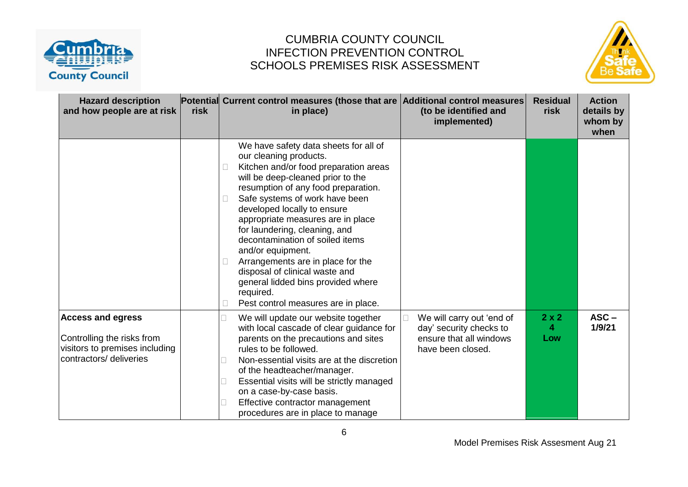



| <b>Hazard description</b><br>and how people are at risk                                                             | risk | Potential Current control measures (those that are Additional control measures<br>in place)                                                                                                                                                                                                                                                                                                                                                                                                                                                          | (to be identified and<br>implemented)                                                                | <b>Residual</b><br>risk  | <b>Action</b><br>details by<br>whom by<br>when |
|---------------------------------------------------------------------------------------------------------------------|------|------------------------------------------------------------------------------------------------------------------------------------------------------------------------------------------------------------------------------------------------------------------------------------------------------------------------------------------------------------------------------------------------------------------------------------------------------------------------------------------------------------------------------------------------------|------------------------------------------------------------------------------------------------------|--------------------------|------------------------------------------------|
|                                                                                                                     |      | We have safety data sheets for all of<br>our cleaning products.<br>Kitchen and/or food preparation areas<br>will be deep-cleaned prior to the<br>resumption of any food preparation.<br>Safe systems of work have been<br>developed locally to ensure<br>appropriate measures are in place<br>for laundering, cleaning, and<br>decontamination of soiled items<br>and/or equipment.<br>Arrangements are in place for the<br>disposal of clinical waste and<br>general lidded bins provided where<br>required.<br>Pest control measures are in place. |                                                                                                      |                          |                                                |
| <b>Access and egress</b><br>Controlling the risks from<br>visitors to premises including<br>contractors/ deliveries |      | We will update our website together<br>with local cascade of clear guidance for<br>parents on the precautions and sites<br>rules to be followed.<br>Non-essential visits are at the discretion<br>of the headteacher/manager.<br>Essential visits will be strictly managed<br>on a case-by-case basis.<br>Effective contractor management<br>procedures are in place to manage                                                                                                                                                                       | We will carry out 'end of<br>day' security checks to<br>ensure that all windows<br>have been closed. | $2 \times 2$<br>4<br>Low | $ASC -$<br>1/9/21                              |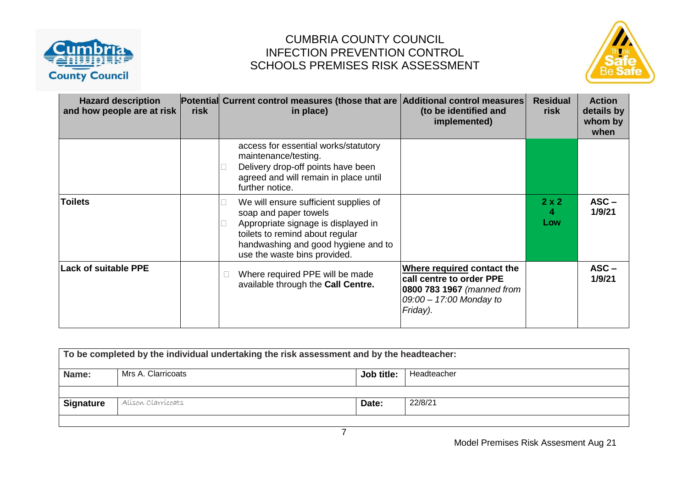



| <b>Hazard description</b><br>and how people are at risk | <b>risk</b> | Potential Current control measures (those that are Additional control measures<br>in place)                                                                                                                     | (to be identified and<br>implemented)                                                                                       | <b>Residual</b><br>risk  | <b>Action</b><br>details by<br>whom by<br>when |
|---------------------------------------------------------|-------------|-----------------------------------------------------------------------------------------------------------------------------------------------------------------------------------------------------------------|-----------------------------------------------------------------------------------------------------------------------------|--------------------------|------------------------------------------------|
|                                                         |             | access for essential works/statutory<br>maintenance/testing.<br>Delivery drop-off points have been<br>agreed and will remain in place until<br>further notice.                                                  |                                                                                                                             |                          |                                                |
| <b>Toilets</b>                                          |             | We will ensure sufficient supplies of<br>soap and paper towels<br>Appropriate signage is displayed in<br>toilets to remind about regular<br>handwashing and good hygiene and to<br>use the waste bins provided. |                                                                                                                             | $2 \times 2$<br>4<br>Low | $ASC -$<br>1/9/21                              |
| <b>Lack of suitable PPE</b>                             |             | Where required PPE will be made<br>available through the Call Centre.                                                                                                                                           | Where required contact the<br>call centre to order PPE<br>0800 783 1967 (manned from<br>09:00 - 17:00 Monday to<br>Friday). |                          | $ASC -$<br>1/9/21                              |

| To be completed by the individual undertaking the risk assessment and by the headteacher: |                    |            |             |  |  |
|-------------------------------------------------------------------------------------------|--------------------|------------|-------------|--|--|
| Name:                                                                                     | Mrs A. Clarricoats | Job title: | Headteacher |  |  |
|                                                                                           |                    |            |             |  |  |
| <b>Signature</b>                                                                          | Alíson Clarrícoats | Date:      | 22/8/21     |  |  |
|                                                                                           |                    |            |             |  |  |